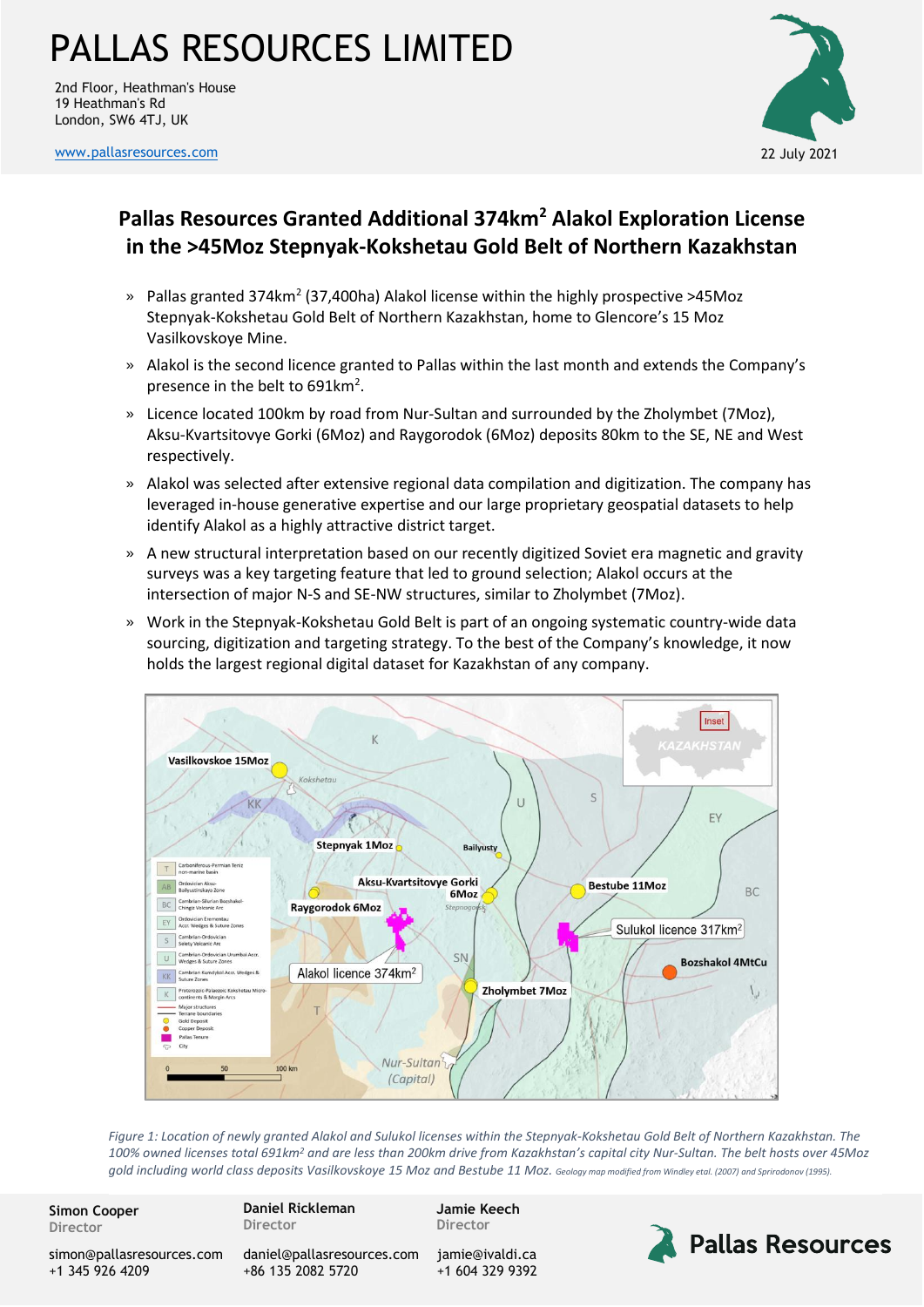2nd Floor, Heathman's House 19 Heathman's Rd London, SW6 4TJ, UK

[www.pallasresources.com](https://www.pallasresources.com/) **22 July 2021** 



### **Pallas Resources Granted Additional 374km<sup>2</sup> Alakol Exploration License in the >45Moz Stepnyak-Kokshetau Gold Belt of Northern Kazakhstan**

- » Pallas granted 374km<sup>2</sup> (37,400ha) Alakol license within the highly prospective >45Moz Stepnyak-Kokshetau Gold Belt of Northern Kazakhstan, home to Glencore's 15 Moz Vasilkovskoye Mine.
- » Alakol is the second licence granted to Pallas within the last month and extends the Company's presence in the belt to  $691 \text{km}^2$ .
- » Licence located 100km by road from Nur-Sultan and surrounded by the Zholymbet (7Moz), Aksu-Kvartsitovye Gorki (6Moz) and Raygorodok (6Moz) deposits 80km to the SE, NE and West respectively.
- » Alakol was selected after extensive regional data compilation and digitization. The company has leveraged in-house generative expertise and our large proprietary geospatial datasets to help identify Alakol as a highly attractive district target.
- » A new structural interpretation based on our recently digitized Soviet era magnetic and gravity surveys was a key targeting feature that led to ground selection; Alakol occurs at the intersection of major N-S and SE-NW structures, similar to Zholymbet (7Moz).
- » Work in the Stepnyak-Kokshetau Gold Belt is part of an ongoing systematic country-wide data sourcing, digitization and targeting strategy. To the best of the Company's knowledge, it now holds the largest regional digital dataset for Kazakhstan of any company.



*Figure 3: Location of newly granted Alakol and Sulukol licenses within the Stepnyak-Kokshetau Gold Belt of Northern Kazakhstan. The 2: of newly and 1: The 100% owned licenses total 691km<sup>2</sup> and are less than 200km drive from Kazakhstan's capital city Nur-Sultan. The belt hosts over 45Moz*  100% owned licenses total 691km<sup>2</sup> and are less than 200km drive from Kazakhstan's capital city Nur-Sultan. The belt hosts over<br>gold including world class deposits Vasilkovskoye 15 Moz and Bestube 11 Moz. <sub>Geology map modi</sub>

**Simon Cooper Director**

**Daniel Rickleman Director**

**Jamie Keech Director**

[simon@pallasresources.com](mailto:simon@pallasresources.com) +1 345 926 4209

[daniel@pallasresources.com](mailto:daniel@pallasresources.com) +86 135 2082 5720

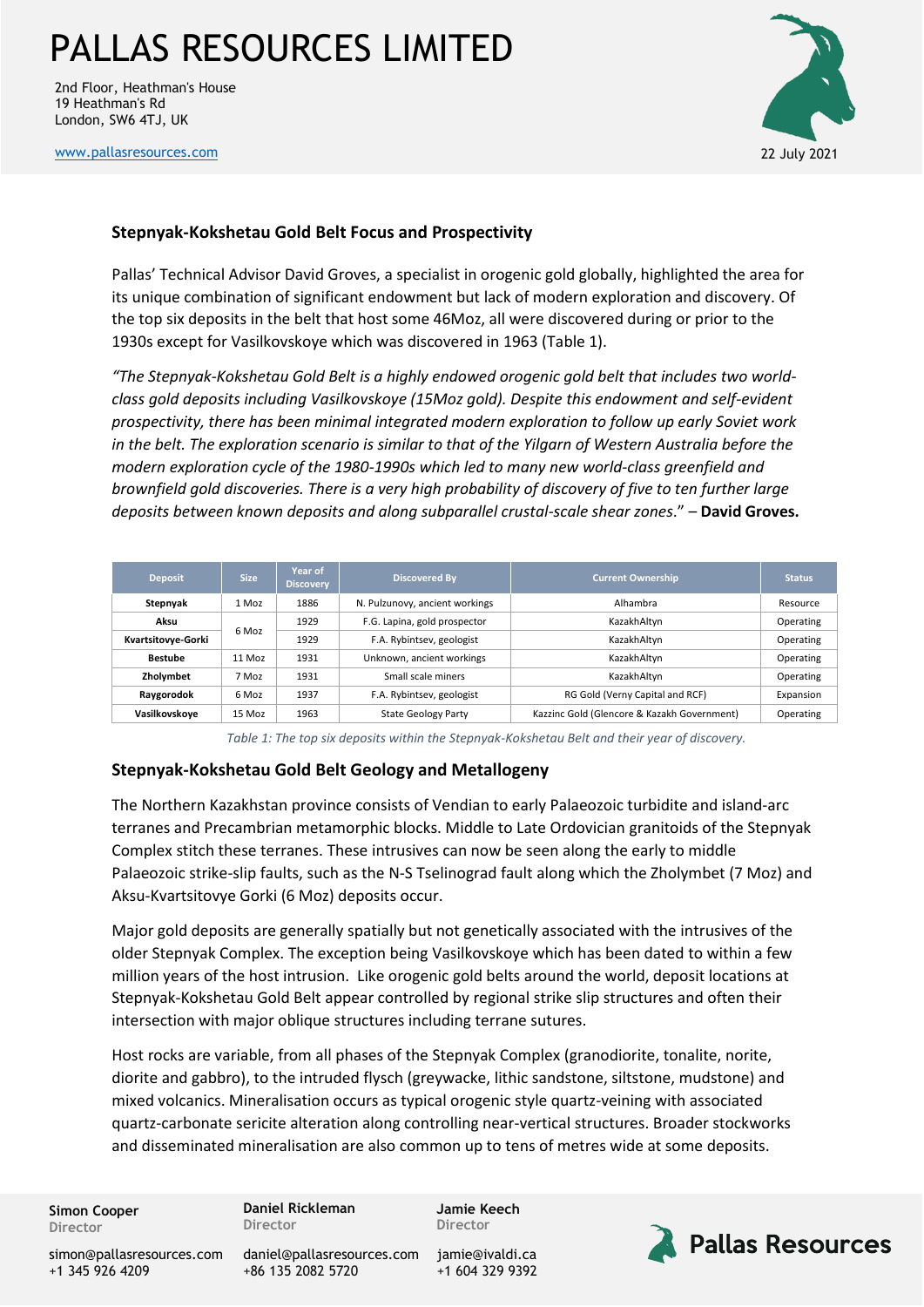2nd Floor, Heathman's House 19 Heathman's Rd London, SW6 4TJ, UK

[www.pallasresources.com](https://www.pallasresources.com/) **22 July 2021** 



#### **Stepnyak-Kokshetau Gold Belt Focus and Prospectivity**

Pallas' Technical Advisor David Groves, a specialist in orogenic gold globally, highlighted the area for its unique combination of significant endowment but lack of modern exploration and discovery. Of the top six deposits in the belt that host some 46Moz, all were discovered during or prior to the 1930s except for Vasilkovskoye which was discovered in 1963 (Table 1).

*"The Stepnyak-Kokshetau Gold Belt is a highly endowed orogenic gold belt that includes two worldclass gold deposits including Vasilkovskoye (15Moz gold). Despite this endowment and self-evident prospectivity, there has been minimal integrated modern exploration to follow up early Soviet work in the belt. The exploration scenario is similar to that of the Yilgarn of Western Australia before the modern exploration cycle of the 1980-1990s which led to many new world-class greenfield and brownfield gold discoveries. There is a very high probability of discovery of five to ten further large deposits between known deposits and along subparallel crustal-scale shear zones*." – **David Groves.**

| <b>Deposit</b>     | <b>Size</b> | Year of<br><b>Discovery</b> | <b>Discovered By</b>           | <b>Current Ownership</b>                    | <b>Status</b> |
|--------------------|-------------|-----------------------------|--------------------------------|---------------------------------------------|---------------|
| Stepnyak           | 1 Moz       | 1886                        | N. Pulzunovy, ancient workings | Alhambra                                    | Resource      |
| Aksu               | 6 Moz       | 1929                        | F.G. Lapina, gold prospector   | KazakhAltvn                                 | Operating     |
| Kvartsitovye-Gorki |             | 1929                        | F.A. Rybintsev, geologist      | KazakhAltyn                                 | Operating     |
| <b>Bestube</b>     | 11 Moz      | 1931                        | Unknown, ancient workings      | KazakhAltyn                                 | Operating     |
| Zholymbet          | 7 Moz       | 1931                        | Small scale miners             | KazakhAltyn                                 | Operating     |
| Raygorodok         | 6 Moz       | 1937                        | F.A. Rybintsev, geologist      | RG Gold (Verny Capital and RCF)             | Expansion     |
| Vasilkovskove      | 15 Moz      | 1963                        | <b>State Geology Party</b>     | Kazzinc Gold (Glencore & Kazakh Government) | Operating     |

*Table 1: The top six deposits within the Stepnyak-Kokshetau Belt and their year of discovery.*

#### **Stepnyak-Kokshetau Gold Belt Geology and Metallogeny**

The Northern Kazakhstan province consists of Vendian to early Palaeozoic turbidite and island-arc terranes and Precambrian metamorphic blocks. Middle to Late Ordovician granitoids of the Stepnyak Complex stitch these terranes. These intrusives can now be seen along the early to middle Palaeozoic strike-slip faults, such as the N-S Tselinograd fault along which the Zholymbet (7 Moz) and Aksu-Kvartsitovye Gorki (6 Moz) deposits occur.

Major gold deposits are generally spatially but not genetically associated with the intrusives of the older Stepnyak Complex. The exception being Vasilkovskoye which has been dated to within a few million years of the host intrusion. Like orogenic gold belts around the world, deposit locations at Stepnyak-Kokshetau Gold Belt appear controlled by regional strike slip structures and often their intersection with major oblique structures including terrane sutures.

Host rocks are variable, from all phases of the Stepnyak Complex (granodiorite, tonalite, norite, diorite and gabbro), to the intruded flysch (greywacke, lithic sandstone, siltstone, mudstone) and mixed volcanics. Mineralisation occurs as typical orogenic style quartz-veining with associated quartz-carbonate sericite alteration along controlling near-vertical structures. Broader stockworks and disseminated mineralisation are also common up to tens of metres wide at some deposits.

**Simon Cooper Director**

**Daniel Rickleman Director**

**Jamie Keech Director**

[simon@pallasresources.com](mailto:simon@pallasresources.com) +1 345 926 4209

[daniel@pallasresources.com](mailto:daniel@pallasresources.com) [jamie@i](mailto:jamie@pallasresources.com)valdi.ca +86 135 2082 5720

+1 604 329 9392

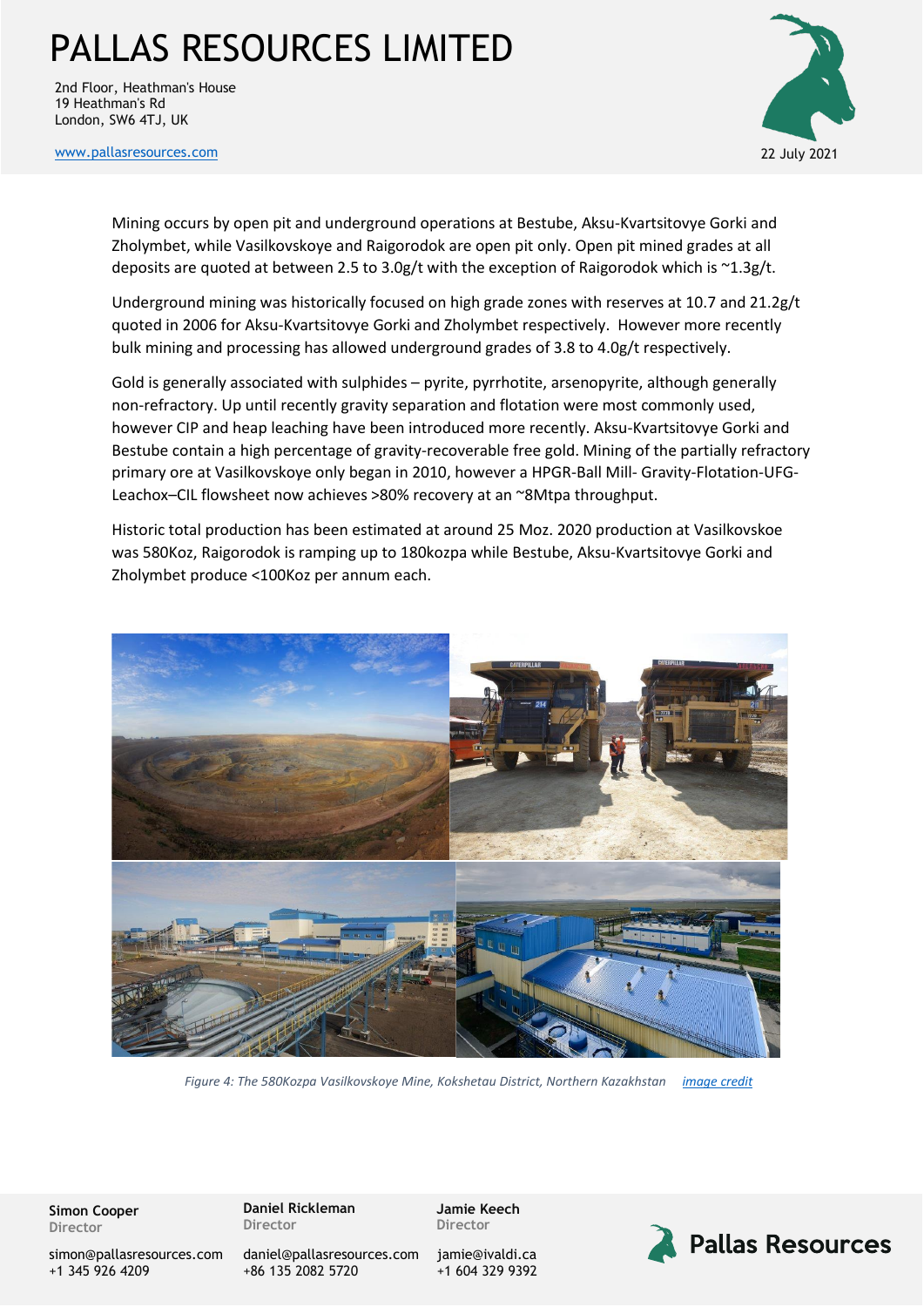2nd Floor, Heathman's House 19 Heathman's Rd London, SW6 4TJ, UK

[www.pallasresources.com](https://www.pallasresources.com/) **22 July 2021** 



Mining occurs by open pit and underground operations at Bestube, Aksu-Kvartsitovye Gorki and Zholymbet, while Vasilkovskoye and Raigorodok are open pit only. Open pit mined grades at all deposits are quoted at between 2.5 to 3.0g/t with the exception of Raigorodok which is ~1.3g/t.

Underground mining was historically focused on high grade zones with reserves at 10.7 and 21.2g/t quoted in 2006 for Aksu-Kvartsitovye Gorki and Zholymbet respectively. However more recently bulk mining and processing has allowed underground grades of 3.8 to 4.0g/t respectively.

Gold is generally associated with sulphides – pyrite, pyrrhotite, arsenopyrite, although generally non-refractory. Up until recently gravity separation and flotation were most commonly used, however CIP and heap leaching have been introduced more recently. Aksu-Kvartsitovye Gorki and Bestube contain a high percentage of gravity-recoverable free gold. Mining of the partially refractory primary ore at Vasilkovskoye only began in 2010, however a HPGR-Ball Mill- Gravity-Flotation-UFG-Leachox–CIL flowsheet now achieves >80% recovery at an ~8Mtpa throughput.

Historic total production has been estimated at around 25 Moz. 2020 production at Vasilkovskoe was 580Koz, Raigorodok is ramping up to 180kozpa while Bestube, Aksu-Kvartsitovye Gorki and Zholymbet produce <100Koz per annum each.



*Figure 4: The 580Kozpa Vasilkovskoye Mine, Kokshetau District, Northern Kazakhstan [image credit](https://bulatutemuratov.com/articles/gold-of-vasilkovskoye-how-altyntau-resources-company-became-a-gold-mining-flagship-in-kazakhstan/)*

**Simon Cooper Director**

**Daniel Rickleman Director**

**Jamie Keech Director**

[simon@pallasresources.com](mailto:simon@pallasresources.com) +1 345 926 4209

[daniel@pallasresources.com](mailto:daniel@pallasresources.com) +86 135 2082 5720

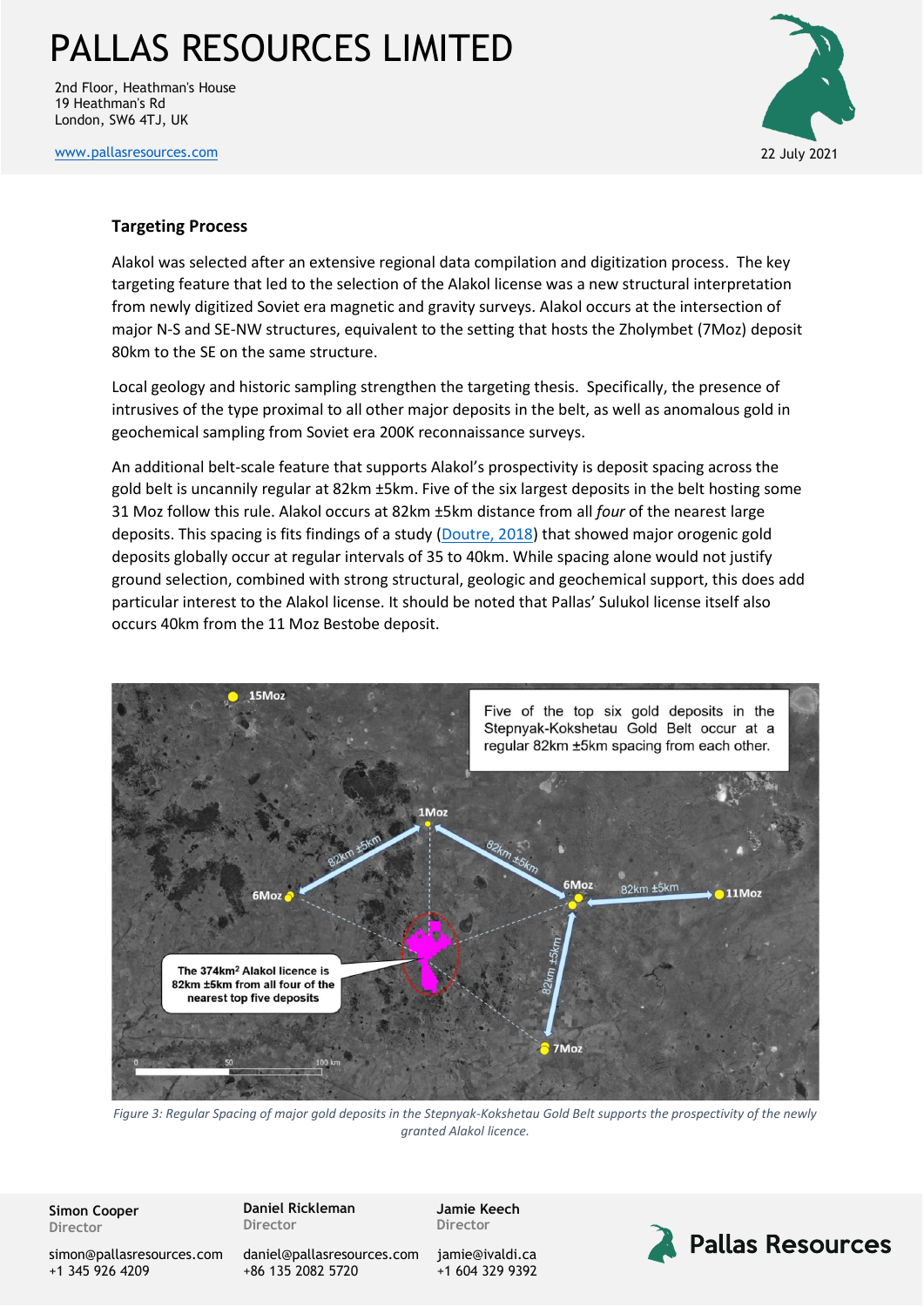2nd Floor, Heathman's House 19 Heathman's Rd London, SW6 4TJ, UK

[www.pallasresources.com](https://www.pallasresources.com/) **22 July 2021** 



#### **Targeting Process**

Alakol was selected after an extensive regional data compilation and digitization process. The key targeting feature that led to the selection of the Alakol license was a new structural interpretation from newly digitized Soviet era magnetic and gravity surveys. Alakol occurs at the intersection of major N-S and SE-NW structures, equivalent to the setting that hosts the Zholymbet (7Moz) deposit 80km to the SE on the same structure.

Local geology and historic sampling strengthen the targeting thesis. Specifically, the presence of intrusives of the type proximal to all other major deposits in the belt, as well as anomalous gold in geochemical sampling from Soviet era 200K reconnaissance surveys.

An additional belt-scale feature that supports Alakol's prospectivity is deposit spacing across the gold belt is uncannily regular at 82km ±5km. Five of the six largest deposits in the belt hosting some 31 Moz follow this rule. Alakol occurs at 82km ±5km distance from all *four* of the nearest large deposits. This spacing is fits findings of a study [\(Doutre, 2018\)](http://cet.edu.au/docs/default-source/publications/theses/thesis_doctor_of_philosophy_doutre_raphael_2018.pdf?sfvrsn=5738b079_4) that showed major orogenic gold deposits globally occur at regular intervals of 35 to 40km. While spacing alone would not justify ground selection, combined with strong structural, geologic and geochemical support, this does add particular interest to the Alakol license. It should be noted that Pallas' Sulukol license itself also occurs 40km from the 11 Moz Bestobe deposit.



*Figure 3: Regular Spacing of major gold deposits in the Stepnyak-Kokshetau Gold Belt supports the prospectivity of the newly granted Alakol licence.*

**Simon Cooper Director**

**Daniel Rickleman Director**

**Jamie Keech Director**

**Pallas Resources** 

[simon@pallasresources.com](mailto:simon@pallasresources.com) +1 345 926 4209

[daniel@pallasresources.com](mailto:daniel@pallasresources.com) +86 135 2082 5720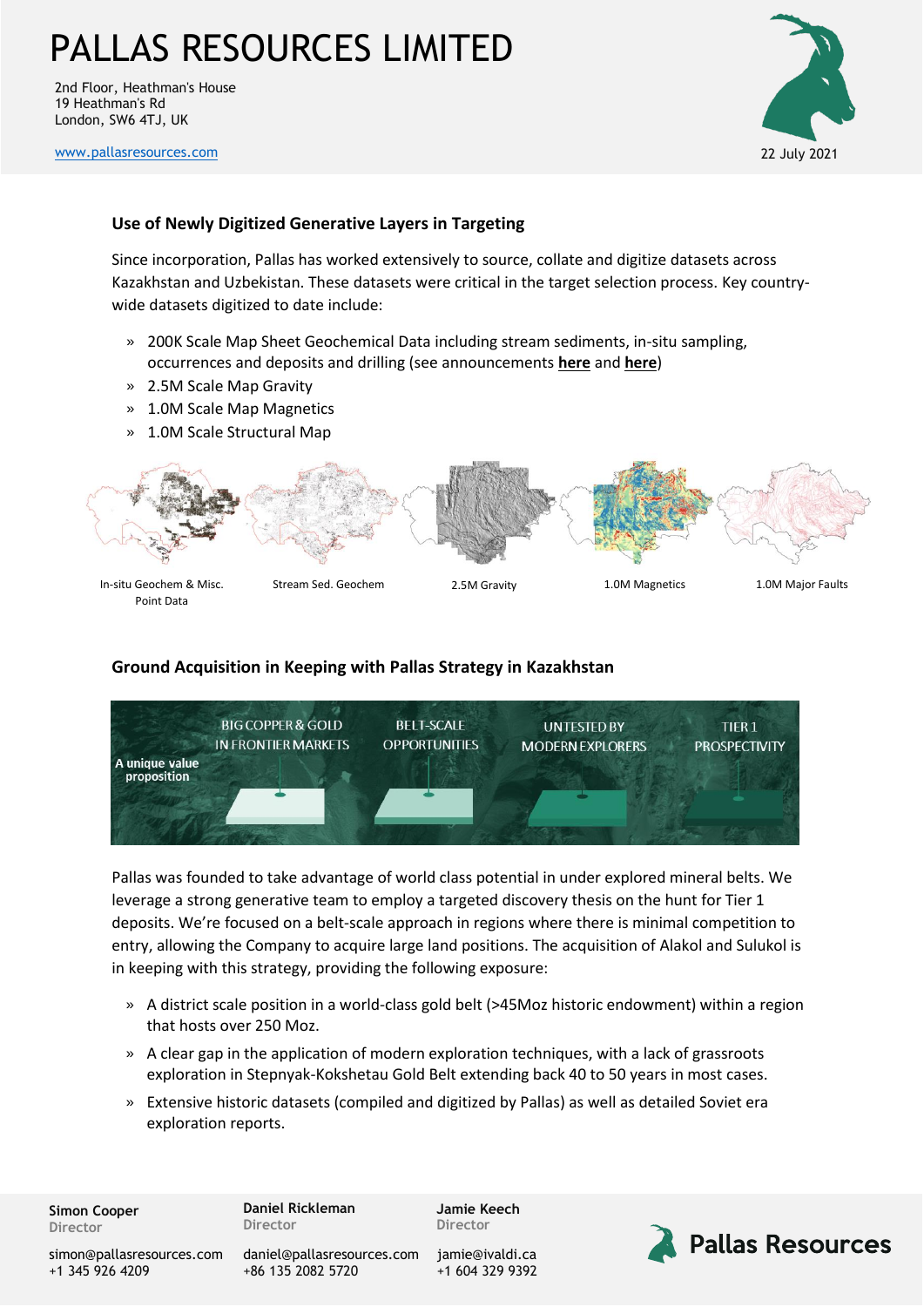2nd Floor, Heathman's House 19 Heathman's Rd London, SW6 4TJ, UK

[www.pallasresources.com](https://www.pallasresources.com/) **22 July 2021** 



#### **Use of Newly Digitized Generative Layers in Targeting**

Since incorporation, Pallas has worked extensively to source, collate and digitize datasets across Kazakhstan and Uzbekistan. These datasets were critical in the target selection process. Key countrywide datasets digitized to date include:

- » 200K Scale Map Sheet Geochemical Data including stream sediments, in-situ sampling, occurrences and deposits and drilling (see announcements **[here](https://a37f3e04-beb6-4e88-91ae-96aa29aada29.filesusr.com/ugd/359854_38bc25085e1340b1b386e8c02dc0648e.pdf)** and **[here](https://a37f3e04-beb6-4e88-91ae-96aa29aada29.filesusr.com/ugd/359854_0d45c947528545b8ae89292dfc95ee7e.pdf)**)
- » 2.5M Scale Map Gravity
- » 1.0M Scale Map Magnetics
- » 1.0M Scale Structural Map



### **Ground Acquisition in Keeping with Pallas Strategy in Kazakhstan**



Pallas was founded to take advantage of world class potential in under explored mineral belts. We leverage a strong generative team to employ a targeted discovery thesis on the hunt for Tier 1 deposits. We're focused on a belt-scale approach in regions where there is minimal competition to entry, allowing the Company to acquire large land positions. The acquisition of Alakol and Sulukol is in keeping with this strategy, providing the following exposure:

- » A district scale position in a world-class gold belt (>45Moz historic endowment) within a region that hosts over 250 Moz.
- » A clear gap in the application of modern exploration techniques, with a lack of grassroots exploration in Stepnyak-Kokshetau Gold Belt extending back 40 to 50 years in most cases.
- » Extensive historic datasets (compiled and digitized by Pallas) as well as detailed Soviet era exploration reports.

**Simon Cooper Director**

**Daniel Rickleman Director**

**Jamie Keech Director**



[daniel@pallasresources.com](mailto:daniel@pallasresources.com) +86 135 2082 5720